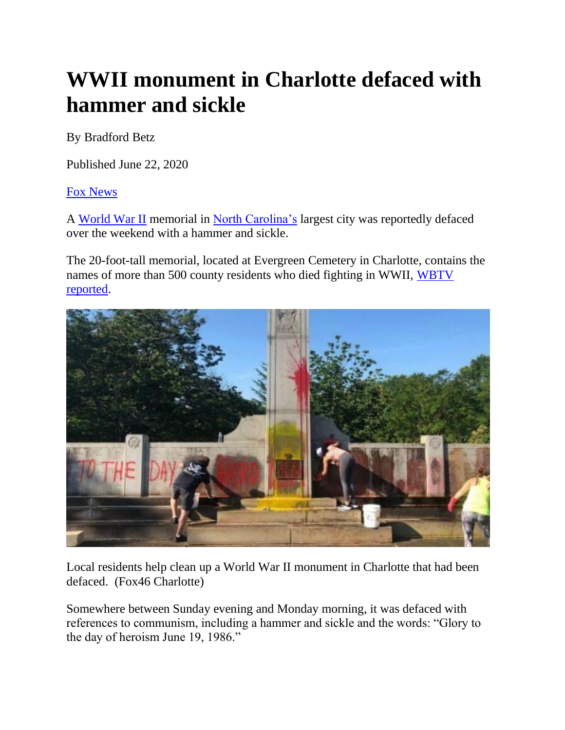## **WWII monument in Charlotte defaced with hammer and sickle**

By Bradford Betz

Published June 22, 2020

[Fox News](http://www.foxnews.com/)

A [World War II](https://www.foxnews.com/category/topic/world-war-two) memorial in [North Carolina's](https://www.foxnews.com/category/us/us-regions/southeast/north-carolina) largest city was reportedly defaced over the weekend with a hammer and sickle.

The 20-foot-tall memorial, located at Evergreen Cemetery in Charlotte, contains the names of more than 500 county residents who died fighting in WWII, [WBTV](https://www.wbtv.com/2020/06/21/world-war-ii-monument-defaced-with-paint-charlotte-cemetery/)  [reported.](https://www.wbtv.com/2020/06/21/world-war-ii-monument-defaced-with-paint-charlotte-cemetery/)



Local residents help clean up a World War II monument in Charlotte that had been defaced. (Fox46 Charlotte)

Somewhere between Sunday evening and Monday morning, it was defaced with references to communism, including a hammer and sickle and the words: "Glory to the day of heroism June 19, 1986."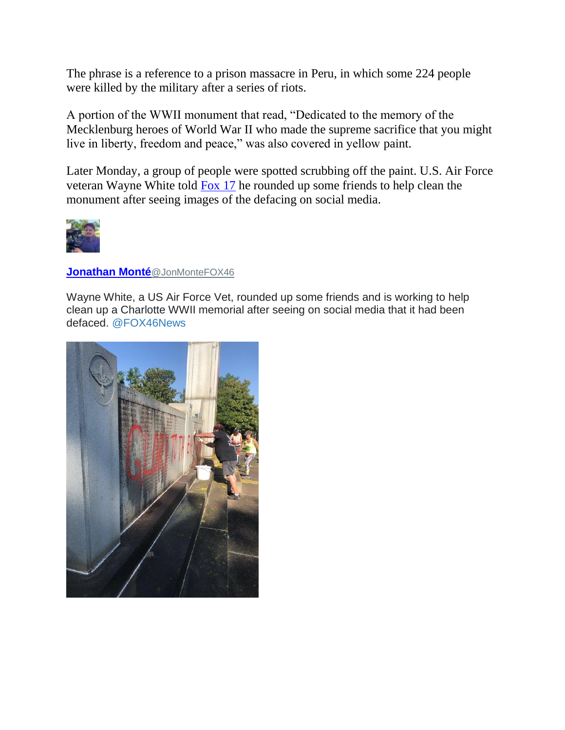The phrase is a reference to a prison massacre in Peru, in which some 224 people were killed by the military after a series of riots.

A portion of the WWII monument that read, "Dedicated to the memory of the Mecklenburg heroes of World War II who made the supreme sacrifice that you might live in liberty, freedom and peace," was also covered in yellow paint.

Later Monday, a group of people were spotted scrubbing off the paint. U.S. Air Force veteran Wayne White told [Fox 17](https://www.cbs17.com/news/north-carolina-news/nc-cemeterys-wwii-memorial-vandalized-overnight/) he rounded up some friends to help clean the monument after seeing images of the defacing on social media.



## **[Jonathan Monté](https://twitter.com/JonMonteFOX46)**@JonMonteFOX46

Wayne White, a US Air Force Vet, rounded up some friends and is working to help clean up a Charlotte WWII memorial after seeing on social media that it had been defaced. [@FOX46News](https://twitter.com/FOX46News)